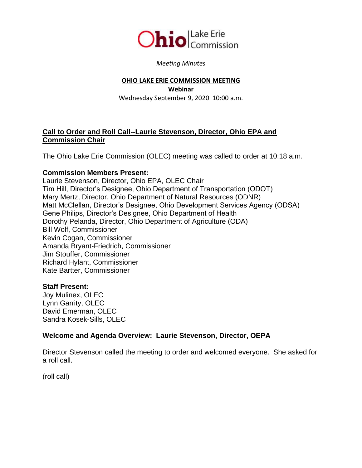

#### *Meeting Minutes*

#### **OHIO LAKE ERIE COMMISSION MEETING**

**Webinar** Wednesday September 9, 2020 10:00 a.m.

### **Call to Order and Roll Call--Laurie Stevenson, Director, Ohio EPA and Commission Chair**

The Ohio Lake Erie Commission (OLEC) meeting was called to order at 10:18 a.m.

### **Commission Members Present:**

Laurie Stevenson, Director, Ohio EPA, OLEC Chair Tim Hill, Director's Designee, Ohio Department of Transportation (ODOT) Mary Mertz, Director, Ohio Department of Natural Resources (ODNR) Matt McClellan, Director's Designee, Ohio Development Services Agency (ODSA) Gene Philips, Director's Designee, Ohio Department of Health Dorothy Pelanda, Director, Ohio Department of Agriculture (ODA) Bill Wolf, Commissioner Kevin Cogan, Commissioner Amanda Bryant-Friedrich, Commissioner Jim Stouffer, Commissioner Richard Hylant, Commissioner Kate Bartter, Commissioner

### **Staff Present:**

Joy Mulinex, OLEC Lynn Garrity, OLEC David Emerman, OLEC Sandra Kosek-Sills, OLEC

### **Welcome and Agenda Overview: Laurie Stevenson, Director, OEPA**

Director Stevenson called the meeting to order and welcomed everyone. She asked for a roll call.

(roll call)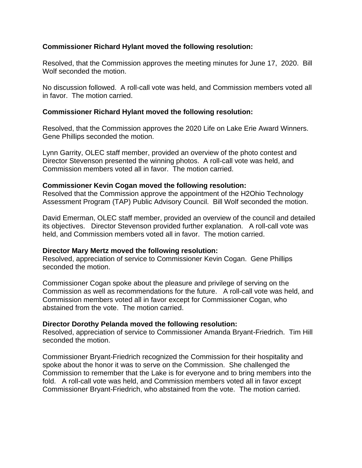### **Commissioner Richard Hylant moved the following resolution:**

Resolved, that the Commission approves the meeting minutes for June 17, 2020. Bill Wolf seconded the motion.

No discussion followed. A roll-call vote was held, and Commission members voted all in favor. The motion carried.

### **Commissioner Richard Hylant moved the following resolution:**

Resolved, that the Commission approves the 2020 Life on Lake Erie Award Winners. Gene Phillips seconded the motion.

Lynn Garrity, OLEC staff member, provided an overview of the photo contest and Director Stevenson presented the winning photos. A roll-call vote was held, and Commission members voted all in favor. The motion carried.

### **Commissioner Kevin Cogan moved the following resolution:**

Resolved that the Commission approve the appointment of the H2Ohio Technology Assessment Program (TAP) Public Advisory Council. Bill Wolf seconded the motion.

David Emerman, OLEC staff member, provided an overview of the council and detailed its objectives. Director Stevenson provided further explanation. A roll-call vote was held, and Commission members voted all in favor. The motion carried.

### **Director Mary Mertz moved the following resolution:**

Resolved, appreciation of service to Commissioner Kevin Cogan. Gene Phillips seconded the motion.

Commissioner Cogan spoke about the pleasure and privilege of serving on the Commission as well as recommendations for the future. A roll-call vote was held, and Commission members voted all in favor except for Commissioner Cogan, who abstained from the vote. The motion carried.

# **Director Dorothy Pelanda moved the following resolution:**

Resolved, appreciation of service to Commissioner Amanda Bryant-Friedrich. Tim Hill seconded the motion.

Commissioner Bryant-Friedrich recognized the Commission for their hospitality and spoke about the honor it was to serve on the Commission. She challenged the Commission to remember that the Lake is for everyone and to bring members into the fold. A roll-call vote was held, and Commission members voted all in favor except Commissioner Bryant-Friedrich, who abstained from the vote. The motion carried.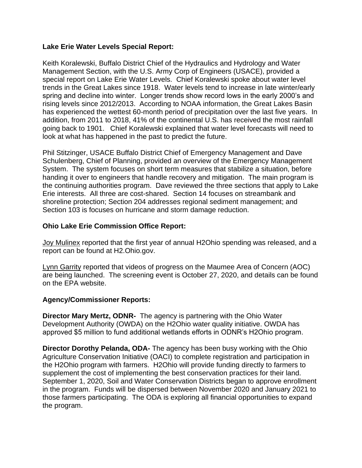## **Lake Erie Water Levels Special Report:**

Keith Koralewski, Buffalo District Chief of the Hydraulics and Hydrology and Water Management Section, with the U.S. Army Corp of Engineers (USACE), provided a special report on Lake Erie Water Levels. Chief Koralewski spoke about water level trends in the Great Lakes since 1918. Water levels tend to increase in late winter/early spring and decline into winter. Longer trends show record lows in the early 2000's and rising levels since 2012/2013. According to NOAA information, the Great Lakes Basin has experienced the wettest 60-month period of precipitation over the last five years. In addition, from 2011 to 2018, 41% of the continental U.S. has received the most rainfall going back to 1901. Chief Koralewski explained that water level forecasts will need to look at what has happened in the past to predict the future.

Phil Stitzinger, USACE Buffalo District Chief of Emergency Management and Dave Schulenberg, Chief of Planning, provided an overview of the Emergency Management System. The system focuses on short term measures that stabilize a situation, before handing it over to engineers that handle recovery and mitigation. The main program is the continuing authorities program. Dave reviewed the three sections that apply to Lake Erie interests. All three are cost-shared. Section 14 focuses on streambank and shoreline protection; Section 204 addresses regional sediment management; and Section 103 is focuses on hurricane and storm damage reduction.

## **Ohio Lake Erie Commission Office Report:**

Joy Mulinex reported that the first year of annual H2Ohio spending was released, and a report can be found at H2.Ohio.gov.

Lynn Garrity reported that videos of progress on the Maumee Area of Concern (AOC) are being launched. The screening event is October 27, 2020, and details can be found on the EPA website.

### **Agency/Commissioner Reports:**

**Director Mary Mertz, ODNR-** The agency is partnering with the Ohio Water Development Authority (OWDA) on the H2Ohio water quality initiative. OWDA has approved \$5 million to fund additional wetlands efforts in ODNR's H2Ohio program.

**Director Dorothy Pelanda, ODA-** The agency has been busy working with the Ohio Agriculture Conservation Initiative (OACI) to complete registration and participation in the H2Ohio program with farmers. H2Ohio will provide funding directly to farmers to supplement the cost of implementing the best conservation practices for their land. September 1, 2020, Soil and Water Conservation Districts began to approve enrollment in the program. Funds will be dispersed between November 2020 and January 2021 to those farmers participating. The ODA is exploring all financial opportunities to expand the program.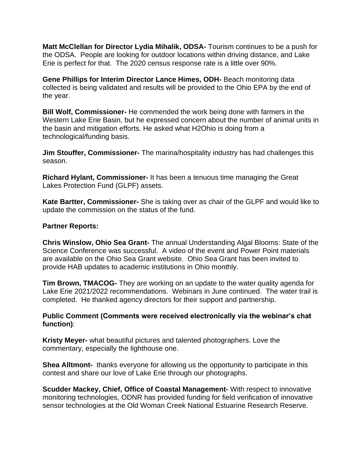**Matt McClellan for Director Lydia Mihalik, ODSA-** Tourism continues to be a push for the ODSA. People are looking for outdoor locations within driving distance, and Lake Erie is perfect for that. The 2020 census response rate is a little over 90%.

**Gene Phillips for Interim Director Lance Himes, ODH-** Beach monitoring data collected is being validated and results will be provided to the Ohio EPA by the end of the year.

**Bill Wolf, Commissioner-** He commended the work being done with farmers in the Western Lake Erie Basin, but he expressed concern about the number of animal units in the basin and mitigation efforts. He asked what H2Ohio is doing from a technological/funding basis.

**Jim Stouffer, Commissioner-** The marina/hospitality industry has had challenges this season.

**Richard Hylant, Commissioner-** It has been a tenuous time managing the Great Lakes Protection Fund (GLPF) assets.

**Kate Bartter, Commissioner-** She is taking over as chair of the GLPF and would like to update the commission on the status of the fund.

#### **Partner Reports:**

**Chris Winslow, Ohio Sea Grant-** The annual Understanding Algal Blooms: State of the Science Conference was successful. A video of the event and Power Point materials are available on the Ohio Sea Grant website. Ohio Sea Grant has been invited to provide HAB updates to academic institutions in Ohio monthly.

**Tim Brown, TMACOG-** They are working on an update to the water quality agenda for Lake Erie 2021/2022 recommendations. Webinars in June continued. The water trail is completed. He thanked agency directors for their support and partnership.

### **Public Comment (Comments were received electronically via the webinar's chat function)**:

**Kristy Meyer-** what beautiful pictures and talented photographers. Love the commentary, especially the lighthouse one.

**Shea Alltmont-** thanks everyone for allowing us the opportunity to participate in this contest and share our love of Lake Erie through our photographs.

**Scudder Mackey, Chief, Office of Coastal Management-** With respect to innovative monitoring technologies, ODNR has provided funding for field verification of innovative sensor technologies at the Old Woman Creek National Estuarine Research Reserve.